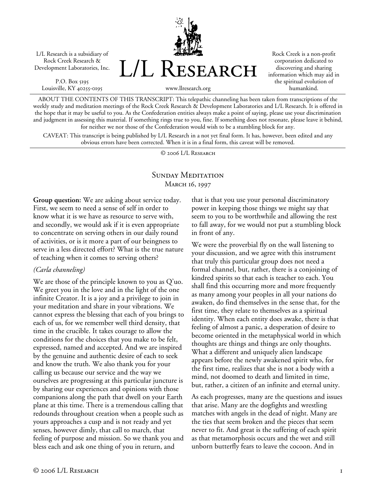L/L Research is a subsidiary of Rock Creek Research & Development Laboratories, Inc.

P.O. Box 5195 Louisville, KY 40255-0195



Rock Creek is a non-profit corporation dedicated to discovering and sharing information which may aid in the spiritual evolution of humankind.

www.llresearch.org

ABOUT THE CONTENTS OF THIS TRANSCRIPT: This telepathic channeling has been taken from transcriptions of the weekly study and meditation meetings of the Rock Creek Research & Development Laboratories and L/L Research. It is offered in the hope that it may be useful to you. As the Confederation entities always make a point of saying, please use your discrimination and judgment in assessing this material. If something rings true to you, fine. If something does not resonate, please leave it behind, for neither we nor those of the Confederation would wish to be a stumbling block for any.

CAVEAT: This transcript is being published by L/L Research in a not yet final form. It has, however, been edited and any obvious errors have been corrected. When it is in a final form, this caveat will be removed.

© 2006 L/L Research

## SUNDAY MEDITATION March 16, 1997

**Group question:** We are asking about service today. First, we seem to need a sense of self in order to know what it is we have as resource to serve with, and secondly, we would ask if it is even appropriate to concentrate on serving others in our daily round of activities, or is it more a part of our beingness to serve in a less directed effort? What is the true nature of teaching when it comes to serving others?

## *(Carla channeling)*

We are those of the principle known to you as Q'uo. We greet you in the love and in the light of the one infinite Creator. It is a joy and a privilege to join in your meditation and share in your vibrations. We cannot express the blessing that each of you brings to each of us, for we remember well third density, that time in the crucible. It takes courage to allow the conditions for the choices that you make to be felt, expressed, named and accepted. And we are inspired by the genuine and authentic desire of each to seek and know the truth. We also thank you for your calling us because our service and the way we ourselves are progressing at this particular juncture is by sharing our experiences and opinions with those companions along the path that dwell on your Earth plane at this time. There is a tremendous calling that redounds throughout creation when a people such as yours approaches a cusp and is not ready and yet senses, however dimly, that call to march, that feeling of purpose and mission. So we thank you and bless each and ask one thing of you in return, and

that is that you use your personal discriminatory power in keeping those things we might say that seem to you to be worthwhile and allowing the rest to fall away, for we would not put a stumbling block in front of any.

We were the proverbial fly on the wall listening to your discussion, and we agree with this instrument that truly this particular group does not need a formal channel, but, rather, there is a conjoining of kindred spirits so that each is teacher to each. You shall find this occurring more and more frequently as many among your peoples in all your nations do awaken, do find themselves in the sense that, for the first time, they relate to themselves as a spiritual identity. When each entity does awake, there is that feeling of almost a panic, a desperation of desire to become oriented in the metaphysical world in which thoughts are things and things are only thoughts. What a different and uniquely alien landscape appears before the newly awakened spirit who, for the first time, realizes that she is not a body with a mind, not doomed to death and limited in time, but, rather, a citizen of an infinite and eternal unity.

As each progresses, many are the questions and issues that arise. Many are the dogfights and wrestling matches with angels in the dead of night. Many are the ties that seem broken and the pieces that seem never to fit. And great is the suffering of each spirit as that metamorphosis occurs and the wet and still unborn butterfly fears to leave the cocoon. And in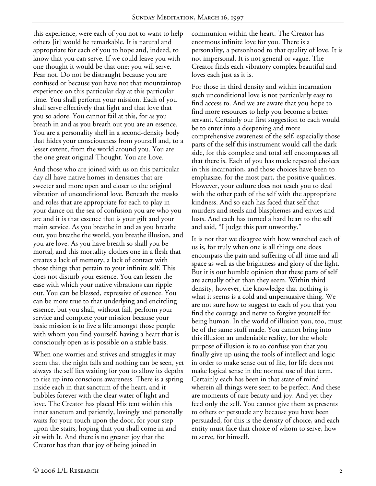this experience, were each of you not to want to help others [it] would be remarkable. It is natural and appropriate for each of you to hope and, indeed, to know that you can serve. If we could leave you with one thought it would be that one: you will serve. Fear not. Do not be distraught because you are confused or because you have not that mountaintop experience on this particular day at this particular time. You shall perform your mission. Each of you shall serve effectively that light and that love that you so adore. You cannot fail at this, for as you breath in and as you breath out you are an essence. You are a personality shell in a second-density body that hides your consciousness from yourself and, to a lesser extent, from the world around you. You are the one great original Thought. You are Love.

And those who are joined with us on this particular day all have native homes in densities that are sweeter and more open and closer to the original vibration of unconditional love. Beneath the masks and roles that are appropriate for each to play in your dance on the sea of confusion you are who you are and it is that essence that is your gift and your main service. As you breathe in and as you breathe out, you breathe the world, you breathe illusion, and you are love. As you have breath so shall you be mortal, and this mortality clothes one in a flesh that creates a lack of memory, a lack of contact with those things that pertain to your infinite self. This does not disturb your essence. You can lessen the ease with which your native vibrations can ripple out. You can be blessed, expressive of essence. You can be more true to that underlying and encircling essence, but you shall, without fail, perform your service and complete your mission because your basic mission is to live a life amongst those people with whom you find yourself, having a heart that is consciously open as is possible on a stable basis.

When one worries and strives and struggles it may seem that the night falls and nothing can be seen, yet always the self lies waiting for you to allow its depths to rise up into conscious awareness. There is a spring inside each in that sanctum of the heart, and it bubbles forever with the clear water of light and love. The Creator has placed His tent within this inner sanctum and patiently, lovingly and personally waits for your touch upon the door, for your step upon the stairs, hoping that you shall come in and sit with It. And there is no greater joy that the Creator has than that joy of being joined in

communion within the heart. The Creator has enormous infinite love for you. There is a personality, a personhood to that quality of love. It is not impersonal. It is not general or vague. The Creator finds each vibratory complex beautiful and loves each just as it is.

For those in third density and within incarnation such unconditional love is not particularly easy to find access to. And we are aware that you hope to find more resources to help you become a better servant. Certainly our first suggestion to each would be to enter into a deepening and more comprehensive awareness of the self, especially those parts of the self this instrument would call the dark side, for this complete and total self encompasses all that there is. Each of you has made repeated choices in this incarnation, and those choices have been to emphasize, for the most part, the positive qualities. However, your culture does not teach you to deal with the other path of the self with the appropriate kindness. And so each has faced that self that murders and steals and blasphemes and envies and lusts. And each has turned a hard heart to the self and said, "I judge this part unworthy."

It is not that we disagree with how wretched each of us is, for truly when one is all things one does encompass the pain and suffering of all time and all space as well as the brightness and glory of the light. But it is our humble opinion that these parts of self are actually other than they seem. Within third density, however, the knowledge that nothing is what it seems is a cold and unpersuasive thing. We are not sure how to suggest to each of you that you find the courage and nerve to forgive yourself for being human. In the world of illusion you, too, must be of the same stuff made. You cannot bring into this illusion an undeniable reality, for the whole purpose of illusion is to so confuse you that you finally give up using the tools of intellect and logic in order to make sense out of life, for life does not make logical sense in the normal use of that term. Certainly each has been in that state of mind wherein all things were seen to be perfect. And these are moments of rare beauty and joy. And yet they feed only the self. You cannot give them as presents to others or persuade any because you have been persuaded, for this is the density of choice, and each entity must face that choice of whom to serve, how to serve, for himself.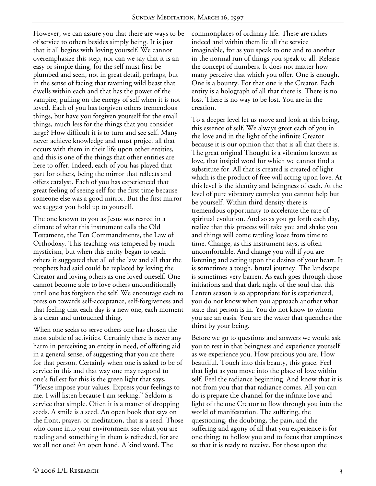However, we can assure you that there are ways to be of service to others besides simply being. It is just that it all begins with loving yourself. We cannot overemphasize this step, nor can we say that it is an easy or simple thing, for the self must first be plumbed and seen, not in great detail, perhaps, but in the sense of facing that ravening wild beast that dwells within each and that has the power of the vampire, pulling on the energy of self when it is not loved. Each of you has forgiven others tremendous things, but have you forgiven yourself for the small things, much less for the things that you consider large? How difficult it is to turn and see self. Many never achieve knowledge and must project all that occurs with them in their life upon other entities, and this is one of the things that other entities are here to offer. Indeed, each of you has played that part for others, being the mirror that reflects and offers catalyst. Each of you has experienced that great feeling of seeing self for the first time because someone else was a good mirror. But the first mirror we suggest you hold up to yourself.

The one known to you as Jesus was reared in a climate of what this instrument calls the Old Testament, the Ten Commandments, the Law of Orthodoxy. This teaching was tempered by much mysticism, but when this entity began to teach others it suggested that all of the law and all that the prophets had said could be replaced by loving the Creator and loving others as one loved oneself. One cannot become able to love others unconditionally until one has forgiven the self. We encourage each to press on towards self-acceptance, self-forgiveness and that feeling that each day is a new one, each moment is a clean and untouched thing.

When one seeks to serve others one has chosen the most subtle of activities. Certainly there is never any harm in perceiving an entity in need, of offering aid in a general sense, of suggesting that you are there for that person. Certainly when one is asked to be of service in this and that way one may respond to one's fullest for this is the green light that says, "Please impose your values. Express your feelings to me. I will listen because I am seeking." Seldom is service that simple. Often it is a matter of dropping seeds. A smile is a seed. An open book that says on the front, prayer, or meditation, that is a seed. Those who come into your environment see what you are reading and something in them is refreshed, for are we all not one? An open hand. A kind word. The

commonplaces of ordinary life. These are riches indeed and within them lie all the service imaginable, for as you speak to one and to another in the normal run of things you speak to all. Release the concept of numbers. It does not matter how many perceive that which you offer. One is enough. One is a bounty. For that one is the Creator. Each entity is a holograph of all that there is. There is no loss. There is no way to be lost. You are in the creation.

To a deeper level let us move and look at this being, this essence of self. We always greet each of you in the love and in the light of the infinite Creator because it is our opinion that that is all that there is. The great original Thought is a vibration known as love, that insipid word for which we cannot find a substitute for. All that is created is created of light which is the product of free will acting upon love. At this level is the identity and beingness of each. At the level of pure vibratory complex you cannot help but be yourself. Within third density there is tremendous opportunity to accelerate the rate of spiritual evolution. And so as you go forth each day, realize that this process will take you and shake you and things will come rattling loose from time to time. Change, as this instrument says, is often uncomfortable. And change you will if you are listening and acting upon the desires of your heart. It is sometimes a tough, brutal journey. The landscape is sometimes very barren. As each goes through those initiations and that dark night of the soul that this Lenten season is so appropriate for is experienced, you do not know when you approach another what state that person is in. You do not know to whom you are an oasis. You are the water that quenches the thirst by your being.

Before we go to questions and answers we would ask you to rest in that beingness and experience yourself as we experience you. How precious you are. How beautiful. Touch into this beauty, this grace. Feel that light as you move into the place of love within self. Feel the radiance beginning. And know that it is not from you that that radiance comes. All you can do is prepare the channel for the infinite love and light of the one Creator to flow through you into the world of manifestation. The suffering, the questioning, the doubting, the pain, and the suffering and agony of all that you experience is for one thing: to hollow you and to focus that emptiness so that it is ready to receive. For those upon the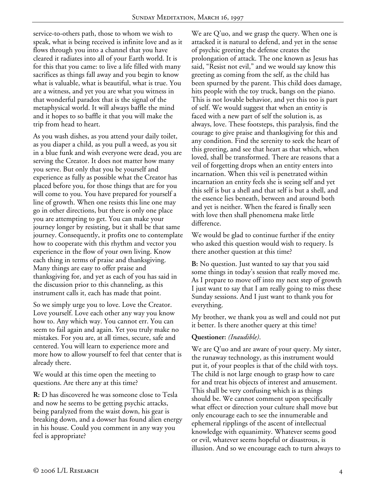service-to-others path, those to whom we wish to speak, what is being received is infinite love and as it flows through you into a channel that you have cleared it radiates into all of your Earth world. It is for this that you came: to live a life filled with many sacrifices as things fall away and you begin to know what is valuable, what is beautiful, what is true. You are a witness, and yet you are what you witness in that wonderful paradox that is the signal of the metaphysical world. It will always baffle the mind and it hopes to so baffle it that you will make the trip from head to heart.

As you wash dishes, as you attend your daily toilet, as you diaper a child, as you pull a weed, as you sit in a blue funk and wish everyone were dead, you are serving the Creator. It does not matter how many you serve. But only that you be yourself and experience as fully as possible what the Creator has placed before you, for those things that are for you will come to you. You have prepared for yourself a line of growth. When one resists this line one may go in other directions, but there is only one place you are attempting to get. You can make your journey longer by resisting, but it shall be that same journey. Consequently, it profits one to contemplate how to cooperate with this rhythm and vector you experience in the flow of your own living. Know each thing in terms of praise and thanksgiving. Many things are easy to offer praise and thanksgiving for, and yet as each of you has said in the discussion prior to this channeling, as this instrument calls it, each has made that point.

So we simply urge you to love. Love the Creator. Love yourself. Love each other any way you know how to. Any which way. You cannot err. You can seem to fail again and again. Yet you truly make no mistakes. For you are, at all times, secure, safe and centered. You will learn to experience more and more how to allow yourself to feel that center that is already there.

We would at this time open the meeting to questions. Are there any at this time?

**R:** D has discovered he was someone close to Tesla and now he seems to be getting psychic attacks, being paralyzed from the waist down, his gear is breaking down, and a dowser has found alien energy in his house. Could you comment in any way you feel is appropriate?

We are Q'uo, and we grasp the query. When one is attacked it is natural to defend, and yet in the sense of psychic greeting the defense creates the prolongation of attack. The one known as Jesus has said, "Resist not evil," and we would say know this greeting as coming from the self, as the child has been spurned by the parent. This child does damage, hits people with the toy truck, bangs on the piano. This is not lovable behavior, and yet this too is part of self. We would suggest that when an entity is faced with a new part of self the solution is, as always, love. These footsteps, this paralysis, find the courage to give praise and thanksgiving for this and any condition. Find the serenity to seek the heart of this greeting, and see that heart as that which, when loved, shall be transformed. There are reasons that a veil of forgetting drops when an entity enters into incarnation. When this veil is penetrated within incarnation an entity feels she is seeing self and yet this self is but a shell and that self is but a shell, and the essence lies beneath, between and around both and yet is neither. When the feared is finally seen with love then shall phenomena make little difference.

We would be glad to continue further if the entity who asked this question would wish to requery. Is there another question at this time?

**B:** No question. Just wanted to say that you said some things in today's session that really moved me. As I prepare to move off into my next step of growth I just want to say that I am really going to miss these Sunday sessions. And I just want to thank you for everything.

My brother, we thank you as well and could not put it better. Is there another query at this time?

## **Questioner:** *(Inaudible)*.

We are Q'uo and are aware of your query. My sister, the runaway technology, as this instrument would put it, of your peoples is that of the child with toys. The child is not large enough to grasp how to care for and treat his objects of interest and amusement. This shall be very confusing which is as things should be. We cannot comment upon specifically what effect or direction your culture shall move but only encourage each to see the innumerable and ephemeral ripplings of the ascent of intellectual knowledge with equanimity. Whatever seems good or evil, whatever seems hopeful or disastrous, is illusion. And so we encourage each to turn always to